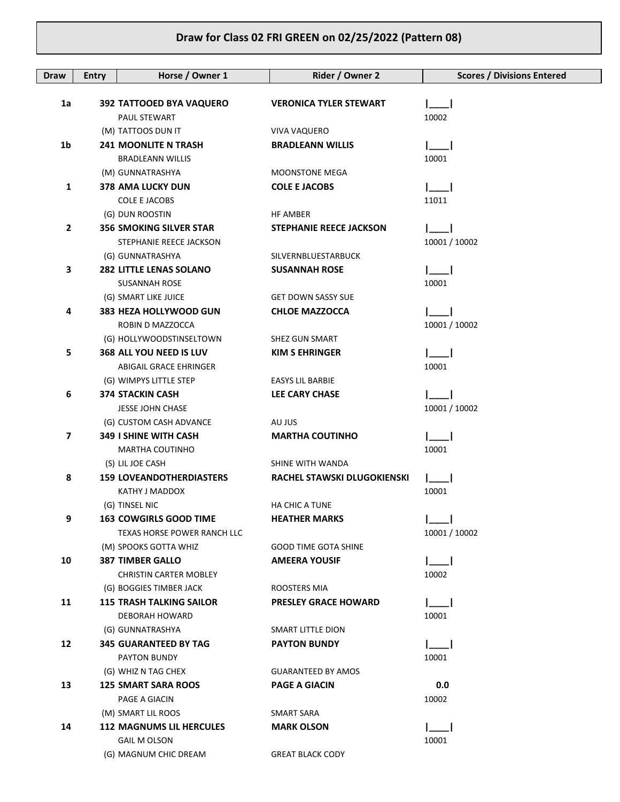## **Draw for Class 02 FRI GREEN on 02/25/2022 (Pattern 08)**

| <b>Draw</b>    | <b>Entry</b> | Horse / Owner 1                              | Rider / Owner 2                | <b>Scores / Divisions Entered</b> |
|----------------|--------------|----------------------------------------------|--------------------------------|-----------------------------------|
|                |              |                                              |                                |                                   |
| 1a             |              | 392 TATTOOED BYA VAQUERO                     | <b>VERONICA TYLER STEWART</b>  |                                   |
|                |              | <b>PAUL STEWART</b>                          |                                | 10002                             |
|                |              | (M) TATTOOS DUN IT                           | VIVA VAQUERO                   |                                   |
| 1 <sub>b</sub> |              | <b>241 MOONLITE N TRASH</b>                  | <b>BRADLEANN WILLIS</b>        |                                   |
|                |              | <b>BRADLEANN WILLIS</b>                      | <b>MOONSTONE MEGA</b>          | 10001                             |
| 1              |              | (M) GUNNATRASHYA<br><b>378 AMA LUCKY DUN</b> | <b>COLE E JACOBS</b>           |                                   |
|                |              | <b>COLE E JACOBS</b>                         |                                | 11011                             |
|                |              | (G) DUN ROOSTIN                              | HF AMBER                       |                                   |
| $\mathbf{2}$   |              | <b>356 SMOKING SILVER STAR</b>               | <b>STEPHANIE REECE JACKSON</b> |                                   |
|                |              | STEPHANIE REECE JACKSON                      |                                | 10001 / 10002                     |
|                |              | (G) GUNNATRASHYA                             | SILVERNBLUESTARBUCK            |                                   |
| 3              |              | <b>282 LITTLE LENAS SOLANO</b>               | <b>SUSANNAH ROSE</b>           |                                   |
|                |              | <b>SUSANNAH ROSE</b>                         |                                | 10001                             |
|                |              | (G) SMART LIKE JUICE                         | <b>GET DOWN SASSY SUE</b>      |                                   |
| 4              |              | 383 HEZA HOLLYWOOD GUN                       | <b>CHLOE MAZZOCCA</b>          |                                   |
|                |              | ROBIN D MAZZOCCA                             |                                | 10001 / 10002                     |
|                |              | (G) HOLLYWOODSTINSELTOWN                     | SHEZ GUN SMART                 |                                   |
| 5              |              | 368 ALL YOU NEED IS LUV                      | <b>KIM S EHRINGER</b>          |                                   |
|                |              | ABIGAIL GRACE EHRINGER                       |                                | 10001                             |
|                |              | (G) WIMPYS LITTLE STEP                       | <b>EASYS LIL BARBIE</b>        |                                   |
| 6              |              | <b>374 STACKIN CASH</b>                      | <b>LEE CARY CHASE</b>          |                                   |
|                |              | <b>JESSE JOHN CHASE</b>                      |                                | 10001 / 10002                     |
|                |              | (G) CUSTOM CASH ADVANCE                      | AU JUS                         |                                   |
| 7              |              | <b>349 I SHINE WITH CASH</b>                 | <b>MARTHA COUTINHO</b>         |                                   |
|                |              | <b>MARTHA COUTINHO</b>                       |                                | 10001                             |
|                |              | (S) LIL JOE CASH                             | SHINE WITH WANDA               |                                   |
| 8              |              | <b>159 LOVEANDOTHERDIASTERS</b>              | RACHEL STAWSKI DLUGOKIENSKI    |                                   |
|                |              | KATHY J MADDOX                               |                                | 10001                             |
|                |              | (G) TINSEL NIC                               | <b>HA CHIC A TUNE</b>          |                                   |
| 9              |              | <b>163 COWGIRLS GOOD TIME</b>                | <b>HEATHER MARKS</b>           |                                   |
|                |              | TEXAS HORSE POWER RANCH LLC                  |                                | 10001 / 10002                     |
|                |              | (M) SPOOKS GOTTA WHIZ                        | <b>GOOD TIME GOTA SHINE</b>    |                                   |
| 10             |              | <b>387 TIMBER GALLO</b>                      | <b>AMEERA YOUSIF</b>           |                                   |
|                |              | <b>CHRISTIN CARTER MOBLEY</b>                |                                | 10002                             |
|                |              | (G) BOGGIES TIMBER JACK                      | ROOSTERS MIA                   |                                   |
| 11             |              | <b>115 TRASH TALKING SAILOR</b>              | <b>PRESLEY GRACE HOWARD</b>    |                                   |
|                |              | DEBORAH HOWARD                               |                                | 10001                             |
|                |              | (G) GUNNATRASHYA                             | SMART LITTLE DION              |                                   |
| 12             |              | <b>345 GUARANTEED BY TAG</b>                 | <b>PAYTON BUNDY</b>            |                                   |
|                |              | PAYTON BUNDY                                 |                                | 10001                             |
|                |              | (G) WHIZ N TAG CHEX                          | <b>GUARANTEED BY AMOS</b>      |                                   |
| 13             |              | <b>125 SMART SARA ROOS</b>                   | <b>PAGE A GIACIN</b>           | 0.0                               |
|                |              | PAGE A GIACIN<br>(M) SMART LIL ROOS          | SMART SARA                     | 10002                             |
| 14             |              | <b>112 MAGNUMS LIL HERCULES</b>              | <b>MARK OLSON</b>              |                                   |
|                |              | <b>GAIL M OLSON</b>                          |                                | 10001                             |
|                |              | (G) MAGNUM CHIC DREAM                        | <b>GREAT BLACK CODY</b>        |                                   |
|                |              |                                              |                                |                                   |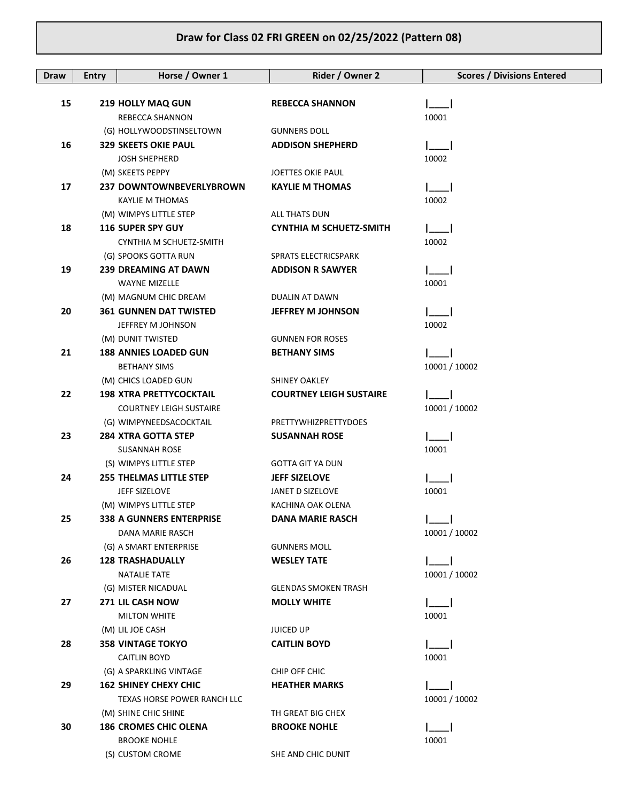## **Draw for Class 02 FRI GREEN on 02/25/2022 (Pattern 08)**

| Draw | <b>Entry</b> | Horse / Owner 1                                   | Rider / Owner 2                | <b>Scores / Divisions Entered</b> |
|------|--------------|---------------------------------------------------|--------------------------------|-----------------------------------|
|      |              |                                                   |                                |                                   |
| 15   |              | <b>219 HOLLY MAQ GUN</b>                          | <b>REBECCA SHANNON</b>         |                                   |
|      |              | REBECCA SHANNON                                   |                                | 10001                             |
|      |              | (G) HOLLYWOODSTINSELTOWN                          | <b>GUNNERS DOLL</b>            |                                   |
| 16   |              | <b>329 SKEETS OKIE PAUL</b>                       | <b>ADDISON SHEPHERD</b>        |                                   |
|      |              | <b>JOSH SHEPHERD</b>                              |                                | 10002                             |
|      |              | (M) SKEETS PEPPY                                  | <b>JOETTES OKIE PAUL</b>       |                                   |
| 17   |              | 237 DOWNTOWNBEVERLYBROWN                          | <b>KAYLIE M THOMAS</b>         |                                   |
|      |              | KAYLIE M THOMAS                                   |                                | 10002                             |
|      |              | (M) WIMPYS LITTLE STEP                            | ALL THATS DUN                  |                                   |
| 18   |              | <b>116 SUPER SPY GUY</b>                          | <b>CYNTHIA M SCHUETZ-SMITH</b> |                                   |
|      |              | CYNTHIA M SCHUETZ-SMITH                           |                                | 10002                             |
|      |              | (G) SPOOKS GOTTA RUN                              | SPRATS ELECTRICSPARK           |                                   |
| 19   |              | <b>239 DREAMING AT DAWN</b>                       | <b>ADDISON R SAWYER</b>        |                                   |
|      |              | <b>WAYNE MIZELLE</b>                              |                                | 10001                             |
|      |              | (M) MAGNUM CHIC DREAM                             | DUALIN AT DAWN                 |                                   |
| 20   |              | <b>361 GUNNEN DAT TWISTED</b>                     | <b>JEFFREY M JOHNSON</b>       |                                   |
|      |              | JEFFREY M JOHNSON                                 |                                | 10002                             |
|      |              | (M) DUNIT TWISTED<br><b>188 ANNIES LOADED GUN</b> | <b>GUNNEN FOR ROSES</b>        |                                   |
| 21   |              |                                                   | <b>BETHANY SIMS</b>            | 10001 / 10002                     |
|      |              | BETHANY SIMS<br>(M) CHICS LOADED GUN              | <b>SHINEY OAKLEY</b>           |                                   |
| 22   |              | <b>198 XTRA PRETTYCOCKTAIL</b>                    | <b>COURTNEY LEIGH SUSTAIRE</b> |                                   |
|      |              | <b>COURTNEY LEIGH SUSTAIRE</b>                    |                                | 10001 / 10002                     |
|      |              | (G) WIMPYNEEDSACOCKTAIL                           | PRETTYWHIZPRETTYDOES           |                                   |
| 23   |              | <b>284 XTRA GOTTA STEP</b>                        | <b>SUSANNAH ROSE</b>           |                                   |
|      |              | SUSANNAH ROSE                                     |                                | 10001                             |
|      |              | (S) WIMPYS LITTLE STEP                            | <b>GOTTA GIT YA DUN</b>        |                                   |
| 24   |              | <b>255 THELMAS LITTLE STEP</b>                    | <b>JEFF SIZELOVE</b>           |                                   |
|      |              | JEFF SIZELOVE                                     | JANET D SIZELOVE               | 10001                             |
|      |              | (M) WIMPYS LITTLE STEP                            | KACHINA OAK OLENA              |                                   |
| 25   |              | <b>338 A GUNNERS ENTERPRISE</b>                   | DANA MARIE RASCH               |                                   |
|      |              | <b>DANA MARIE RASCH</b>                           |                                | 10001 / 10002                     |
|      |              | (G) A SMART ENTERPRISE                            | <b>GUNNERS MOLL</b>            |                                   |
| 26   |              | <b>128 TRASHADUALLY</b>                           | <b>WESLEY TATE</b>             |                                   |
|      |              | <b>NATALIE TATE</b>                               |                                | 10001 / 10002                     |
|      |              | (G) MISTER NICADUAL                               | <b>GLENDAS SMOKEN TRASH</b>    |                                   |
| 27   |              | 271 LIL CASH NOW                                  | <b>MOLLY WHITE</b>             |                                   |
|      |              | <b>MILTON WHITE</b>                               |                                | 10001                             |
|      |              | (M) LIL JOE CASH                                  | <b>JUICED UP</b>               |                                   |
| 28   |              | <b>358 VINTAGE TOKYO</b>                          | <b>CAITLIN BOYD</b>            |                                   |
|      |              | <b>CAITLIN BOYD</b>                               |                                | 10001                             |
|      |              | (G) A SPARKLING VINTAGE                           | CHIP OFF CHIC                  |                                   |
| 29   |              | <b>162 SHINEY CHEXY CHIC</b>                      | <b>HEATHER MARKS</b>           |                                   |
|      |              | TEXAS HORSE POWER RANCH LLC                       |                                | 10001 / 10002                     |
|      |              | (M) SHINE CHIC SHINE                              | TH GREAT BIG CHEX              |                                   |
| 30   |              | <b>186 CROMES CHIC OLENA</b>                      | <b>BROOKE NOHLE</b>            |                                   |
|      |              | <b>BROOKE NOHLE</b>                               |                                | 10001                             |
|      |              | (S) CUSTOM CROME                                  | SHE AND CHIC DUNIT             |                                   |